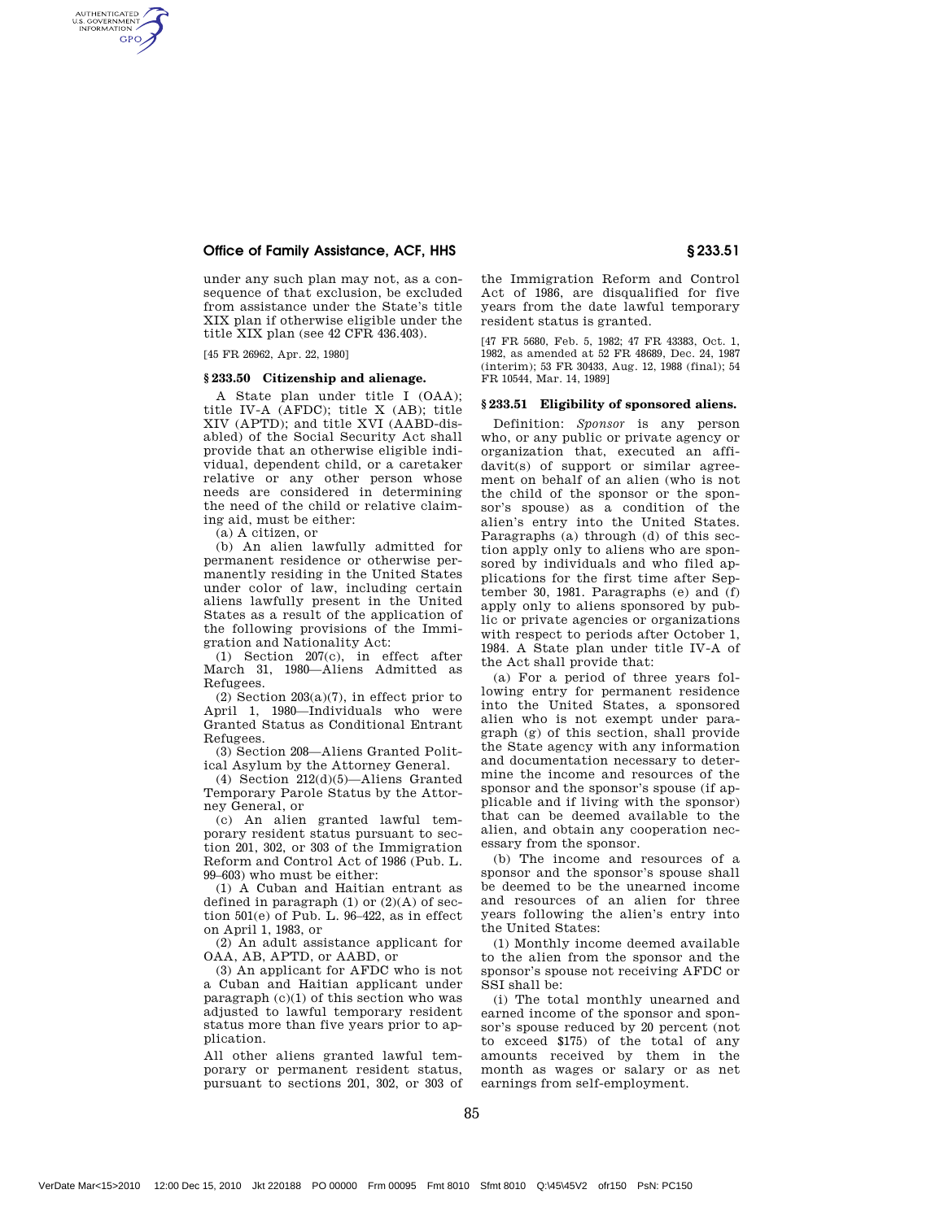## Office of Family Assistance, ACF, HHS § 233.51

under any such plan may not, as a consequence of that exclusion, be excluded from assistance under the State's title XIX plan if otherwise eligible under the title XIX plan (see 42 CFR 436.403).

[45 FR 26962, Apr. 22, 1980]

AUTHENTICATED<br>U.S. GOVERNMENT<br>INFORMATION **GPO** 

## **§ 233.50 Citizenship and alienage.**

A State plan under title I (OAA); title IV-A (AFDC); title X (AB); title XIV (APTD); and title XVI (AABD-disabled) of the Social Security Act shall provide that an otherwise eligible individual, dependent child, or a caretaker relative or any other person whose needs are considered in determining the need of the child or relative claiming aid, must be either:

(a) A citizen, or

(b) An alien lawfully admitted for permanent residence or otherwise permanently residing in the United States under color of law, including certain aliens lawfully present in the United States as a result of the application of the following provisions of the Immigration and Nationality Act:

(1) Section 207(c), in effect after March 31, 1980—Aliens Admitted as Refugees.

 $(2)$  Section  $203(a)(7)$ , in effect prior to April 1, 1980—Individuals who were Granted Status as Conditional Entrant Refugees.

(3) Section 208—Aliens Granted Political Asylum by the Attorney General.

(4) Section 212(d)(5)—Aliens Granted Temporary Parole Status by the Attorney General, or

(c) An alien granted lawful temporary resident status pursuant to section 201, 302, or 303 of the Immigration Reform and Control Act of 1986 (Pub. L. 99–603) who must be either:

(1) A Cuban and Haitian entrant as defined in paragraph  $(1)$  or  $(2)(A)$  of section 501(e) of Pub. L. 96–422, as in effect on April 1, 1983, or

(2) An adult assistance applicant for OAA, AB, APTD, or AABD, or

(3) An applicant for AFDC who is not a Cuban and Haitian applicant under paragraph (c)(1) of this section who was adjusted to lawful temporary resident status more than five years prior to application.

All other aliens granted lawful temporary or permanent resident status, pursuant to sections 201, 302, or 303 of

the Immigration Reform and Control Act of 1986, are disqualified for five years from the date lawful temporary resident status is granted.

[47 FR 5680, Feb. 5, 1982; 47 FR 43383, Oct. 1, 1982, as amended at 52 FR 48689, Dec. 24, 1987 (interim); 53 FR 30433, Aug. 12, 1988 (final); 54 FR 10544, Mar. 14, 1989]

## **§ 233.51 Eligibility of sponsored aliens.**

Definition: *Sponsor* is any person who, or any public or private agency or organization that, executed an affidavit(s) of support or similar agreement on behalf of an alien (who is not the child of the sponsor or the sponsor's spouse) as a condition of the alien's entry into the United States. Paragraphs (a) through (d) of this section apply only to aliens who are sponsored by individuals and who filed applications for the first time after September 30, 1981. Paragraphs (e) and (f) apply only to aliens sponsored by public or private agencies or organizations with respect to periods after October 1, 1984. A State plan under title IV-A of the Act shall provide that:

(a) For a period of three years following entry for permanent residence into the United States, a sponsored alien who is not exempt under paragraph (g) of this section, shall provide the State agency with any information and documentation necessary to determine the income and resources of the sponsor and the sponsor's spouse (if applicable and if living with the sponsor) that can be deemed available to the alien, and obtain any cooperation necessary from the sponsor.

(b) The income and resources of a sponsor and the sponsor's spouse shall be deemed to be the unearned income and resources of an alien for three years following the alien's entry into the United States:

(1) Monthly income deemed available to the alien from the sponsor and the sponsor's spouse not receiving AFDC or SSI shall be:

(i) The total monthly unearned and earned income of the sponsor and sponsor's spouse reduced by 20 percent (not to exceed \$175) of the total of any amounts received by them in the month as wages or salary or as net earnings from self-employment.